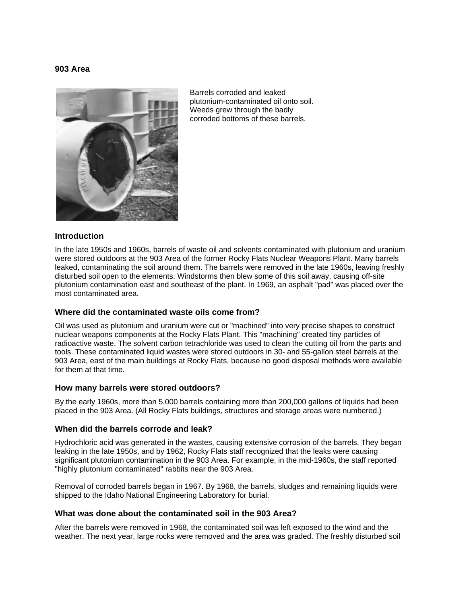### **903 Area**



Barrels corroded and leaked plutonium-contaminated oil onto soil. Weeds grew through the badly corroded bottoms of these barrels.

### **Introduction**

In the late 1950s and 1960s, barrels of waste oil and solvents contaminated with plutonium and uranium were stored outdoors at the 903 Area of the former Rocky Flats Nuclear Weapons Plant. Many barrels leaked, contaminating the soil around them. The barrels were removed in the late 1960s, leaving freshly disturbed soil open to the elements. Windstorms then blew some of this soil away, causing off-site plutonium contamination east and southeast of the plant. In 1969, an asphalt "pad" was placed over the most contaminated area.

### **Where did the contaminated waste oils come from?**

Oil was used as plutonium and uranium were cut or "machined" into very precise shapes to construct nuclear weapons components at the Rocky Flats Plant. This "machining" created tiny particles of radioactive waste. The solvent carbon tetrachloride was used to clean the cutting oil from the parts and tools. These contaminated liquid wastes were stored outdoors in 30- and 55-gallon steel barrels at the 903 Area, east of the main buildings at Rocky Flats, because no good disposal methods were available for them at that time.

### **How many barrels were stored outdoors?**

By the early 1960s, more than 5,000 barrels containing more than 200,000 gallons of liquids had been placed in the 903 Area. (All Rocky Flats buildings, structures and storage areas were numbered.)

### **When did the barrels corrode and leak?**

Hydrochloric acid was generated in the wastes, causing extensive corrosion of the barrels. They began leaking in the late 1950s, and by 1962, Rocky Flats staff recognized that the leaks were causing significant plutonium contamination in the 903 Area. For example, in the mid-1960s, the staff reported "highly plutonium contaminated" rabbits near the 903 Area.

Removal of corroded barrels began in 1967. By 1968, the barrels, sludges and remaining liquids were shipped to the Idaho National Engineering Laboratory for burial.

### **What was done about the contaminated soil in the 903 Area?**

After the barrels were removed in 1968, the contaminated soil was left exposed to the wind and the weather. The next year, large rocks were removed and the area was graded. The freshly disturbed soil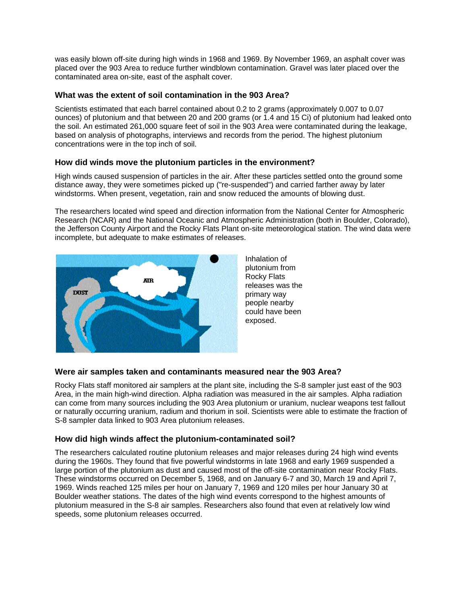was easily blown off-site during high winds in 1968 and 1969. By November 1969, an asphalt cover was placed over the 903 Area to reduce further windblown contamination. Gravel was later placed over the contaminated area on-site, east of the asphalt cover.

# **What was the extent of soil contamination in the 903 Area?**

Scientists estimated that each barrel contained about 0.2 to 2 grams (approximately 0.007 to 0.07 ounces) of plutonium and that between 20 and 200 grams (or 1.4 and 15 Ci) of plutonium had leaked onto the soil. An estimated 261,000 square feet of soil in the 903 Area were contaminated during the leakage, based on analysis of photographs, interviews and records from the period. The highest plutonium concentrations were in the top inch of soil.

## **How did winds move the plutonium particles in the environment?**

High winds caused suspension of particles in the air. After these particles settled onto the ground some distance away, they were sometimes picked up ("re-suspended") and carried farther away by later windstorms. When present, vegetation, rain and snow reduced the amounts of blowing dust.

The researchers located wind speed and direction information from the National Center for Atmospheric Research (NCAR) and the National Oceanic and Atmospheric Administration (both in Boulder, Colorado), the Jefferson County Airport and the Rocky Flats Plant on-site meteorological station. The wind data were incomplete, but adequate to make estimates of releases.



Inhalation of plutonium from Rocky Flats releases was the primary way people nearby could have been exposed.

### **Were air samples taken and contaminants measured near the 903 Area?**

Rocky Flats staff monitored air samplers at the plant site, including the S-8 sampler just east of the 903 Area, in the main high-wind direction. Alpha radiation was measured in the air samples. Alpha radiation can come from many sources including the 903 Area plutonium or uranium, nuclear weapons test fallout or naturally occurring uranium, radium and thorium in soil. Scientists were able to estimate the fraction of S-8 sampler data linked to 903 Area plutonium releases.

# **How did high winds affect the plutonium-contaminated soil?**

The researchers calculated routine plutonium releases and major releases during 24 high wind events during the 1960s. They found that five powerful windstorms in late 1968 and early 1969 suspended a large portion of the plutonium as dust and caused most of the off-site contamination near Rocky Flats. These windstorms occurred on December 5, 1968, and on January 6-7 and 30, March 19 and April 7, 1969. Winds reached 125 miles per hour on January 7, 1969 and 120 miles per hour January 30 at Boulder weather stations. The dates of the high wind events correspond to the highest amounts of plutonium measured in the S-8 air samples. Researchers also found that even at relatively low wind speeds, some plutonium releases occurred.